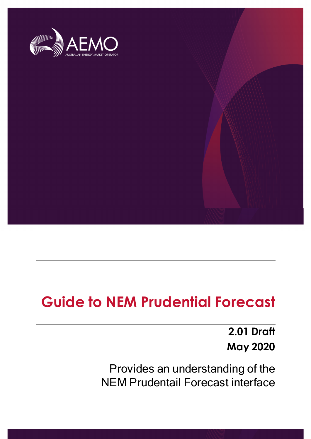

## **Guide to NEM Prudential Forecast**

**2.01 Draft May 2020**

Provides an understanding of the NEM Prudentail Forecast interface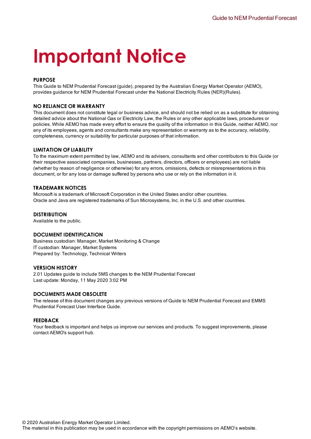# **Important Notice**

#### **PURPOSE**

This Guide to NEM Prudential Forecast (guide), prepared by the Australian Energy Market Operator (AEMO), provides guidance for NEM Prudential Forecast under the National Electricity Rules (NER)(Rules).

#### **NO RELIANCE OR WARRANTY**

This document does not constitute legal or business advice, and should not be relied on as a substitute for obtaining detailed advice about the National Gas or Electricity Law, the Rules or any other applicable laws, procedures or policies. While AEMO has made every effort to ensure the quality of the information in this Guide, neither AEMO, nor any of its employees, agents and consultants make any representation or warranty as to the accuracy, reliability, completeness, currency or suitability for particular purposes of that information.

#### **LIMITATION OF LIABILITY**

To the maximum extent permitted by law, AEMO and its advisers, consultants and other contributors to this Guide (or their respective associated companies, businesses, partners, directors, officers or employees) are not liable (whether by reason of negligence or otherwise) for any errors, omissions, defects or misrepresentations in this document, or for any loss or damage suffered by persons who use or rely on the information in it.

#### **TRADEMARK NOTICES**

Microsoft is a trademark of Microsoft Corporation in the United States and/or other countries. Oracle and Java are registered trademarks of Sun Microsystems, Inc. in the U.S. and other countries.

#### **DISTRIBUTION**

Available to the public.

#### **DOCUMENT IDENTIFICATION**

Business custodian: Manager, Market Monitoring & Change IT custodian: Manager, Market Systems Prepared by: Technology, Technical Writers

#### **VERSION HISTORY**

2.01 Updates guide to include 5MS changes to the NEM Prudential Forecast Last update: Monday, 11 May 2020 3:02 PM

#### **DOCUMENTS MADE OBSOLETE**

The release of this document changes any previous versions of Guide to NEM Prudential Forecast and EMMS Prudential Forecast User Interface Guide.

#### **FEEDBACK**

Your feedback is important and helps us improve our services and products. To suggest improvements, please contact AEMO's support hub.

© 2020 Australian Energy Market Operator Limited.

The material in this publication may be used in accordance with the copyright permissions on AEMO's website.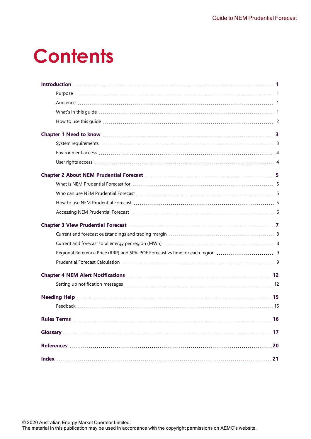# **Contents**

| Regional Reference Price (RRP) and 50% POE Forecast vs time for each region |  |
|-----------------------------------------------------------------------------|--|
|                                                                             |  |
|                                                                             |  |
|                                                                             |  |
|                                                                             |  |
|                                                                             |  |
|                                                                             |  |
|                                                                             |  |
| .20                                                                         |  |
| 21                                                                          |  |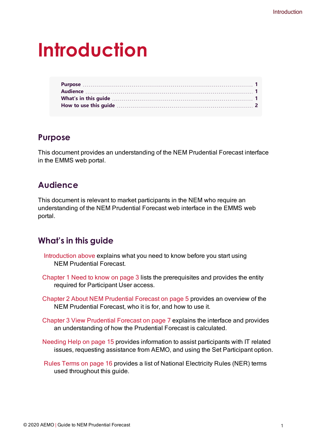# <span id="page-3-0"></span>**Introduction**

## <span id="page-3-1"></span>**Purpose**

This document provides an understanding of the NEM Prudential Forecast interface in the EMMS web portal.

## <span id="page-3-2"></span>**Audience**

This document is relevant to market participants in the NEM who require an understanding of the NEM Prudential Forecast web interface in the EMMS web portal.

## <span id="page-3-3"></span>**What's in this guide**

- [Introduction](#page-3-0) above explains what you need to know before you start using NEM Prudential Forecast.
- [Chapter](#page-5-0) 1 Need to know on page 3 lists the prerequisites and provides the entity required for Participant User access.
- Chapter 2 About [NEM Prudential](#page-7-0) Forecast on page 5 provides an overview of the NEM Prudential Forecast, who it is for, and how to use it.
- Chapter 3 View [Prudential](#page-9-0) Forecast on page 7 explains the interface and provides an understanding of how the Prudential Forecast is calculated.
- <span id="page-3-4"></span>[Needing](#page-17-0) Help on page 15 provides information to assist participants with IT related issues, requesting assistance from AEMO, and using the Set Participant option.
- <span id="page-3-5"></span>Rules Terms on [page 16](#page-18-0) provides a list of National Electricity Rules (NER) terms used throughout this guide.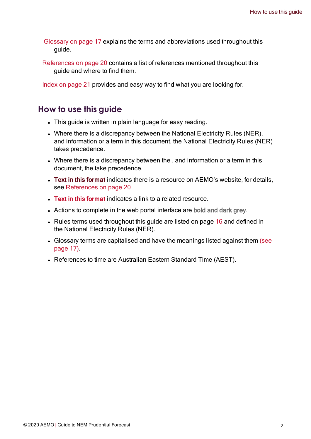[Glossary](#page-19-0) on page 17 explains the terms and abbreviations used throughout this guide.

[References](#page-22-0) on page 20 contains a list of references mentioned throughout this guide and where to find them.

Index on [page 21](#page-23-0) provides and easy way to find what you are looking for.

## <span id="page-4-0"></span>**How to use this guide**

- This guide is written in plain language for easy reading.
- Where there is a discrepancy between the National Electricity Rules (NER), and information or a term in this document, the National Electricity Rules (NER) takes precedence.
- Where there is a discrepancy between the, and information or a term in this document, the take precedence.
- Text in this format indicates there is a resource on AEMO's website, for details, see [References](#page-22-0) on page 20
- Text in this format indicates a link to a related resource.
- Actions to complete in the web portal interface are bold and dark grey.
- Rules terms used throughout this guide are listed on page  $16$  and defined in the National Electricity Rules (NER).
- Glossary terms are capitalised and have the meanings listed against them [\(see](#page-19-0) [page](#page-19-0) 17).
- References to time are Australian Eastern Standard Time (AEST).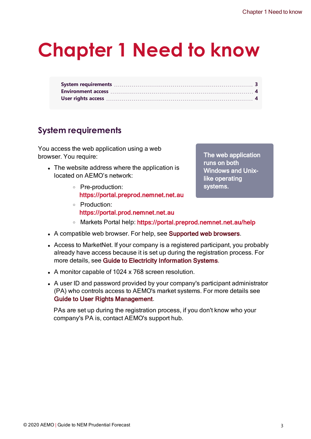# <span id="page-5-0"></span>**Chapter 1 Need to know**

## <span id="page-5-1"></span>**System requirements**

You access the web application using a web browser. You require:

- The website address where the application is located on AEMO's network:
	- <sup>o</sup> Pre-production: https://portal.preprod.nemnet.net.au
	- <sup>o</sup> Production: https://portal.prod.nemnet.net.au

The web application runs on both Windows and Unixlike operating systems.

- o Markets Portal help: https://portal.preprod.nemnet.net.au/help
- A compatible web browser. For help, see Supported web browsers.
- Access to MarketNet. If your company is a registered participant, you probably already have access because it is set up during the registration process. For more details, see Guide to Electricity [Information](http://www.aemo.com.au/) Systems.
- A monitor capable of 1024 x 768 screen resolution.
- A user ID and password provided by your company's participant administrator (PA) who controls access to AEMO's market systems. For more details see Guide to User Rights Management.

PAs are set up during the registration process, if you don't know who your company's PA is, contact AEMO's support hub.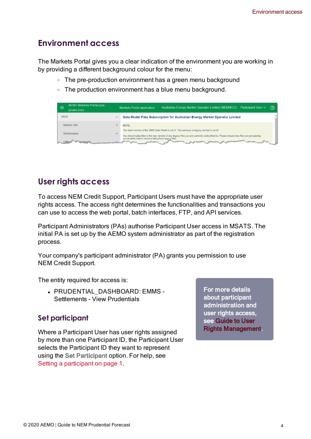## <span id="page-6-0"></span>**Environment access**

The Markets Portal gives you a clear indication of the environment you are working in by providing a different background colour for the menu:

- $\circ$  The pre-production environment has a green menu background
- $\circ$  The production environment has a blue menu background.

| <b>AEMO Markets Portal (pre-</b><br>production) | Australian Energy Market Operator Limited (NEMMCO)<br>Participant User ∨<br><b>Markets Portal application</b>                                                                                                                     | の |
|-------------------------------------------------|-----------------------------------------------------------------------------------------------------------------------------------------------------------------------------------------------------------------------------------|---|
| <b>MMS</b>                                      | Data Model Files Subscription for Australian Energy Market Operator Limited                                                                                                                                                       |   |
| Market Info                                     | NOTF:                                                                                                                                                                                                                             |   |
| <b>Settlements</b>                              | The latest version of the MMS Data Model is v4.27. The previous or legacy version is v4.26<br>You should subscribe to the new version of any legacy files you are currently subscribed to. Please ensure new files are processing |   |
|                                                 | successfully before unsubscribing from legacy files.<br><b>Samples</b><br><b>CONTRACTOR</b>                                                                                                                                       |   |

## <span id="page-6-1"></span>**User rights access**

To access NEM Credit Support, Participant Users must have the appropriate user rights access. The access right determines the functionalities and transactions you can use to access the web portal, batch interfaces, FTP, and API services.

Participant Administrators (PAs) authorise Participant User access in MSATS. The initial PA is set up by the AEMO system administrator as part of the registration process.

Your company's participant administrator (PA) grants you permission to use NEM Credit Support.

The entity required for access is:

• PRUDENTIAL DASHBOARD: EMMS -Settlements - View Prudentials

## <span id="page-6-2"></span>**Set participant**

Where a Participant User has user rights assigned by more than one Participant ID, the Participant User selects the Participant ID they want to represent using the Set Participant option. For help, see Setting a participant on page 1.

For more details about participant administration and user rights access, see [Guide](https://aemo.com.au/-/media/Files/Electricity/NEM/Retail_and_Metering/Market_Settlement_And_Transfer_Solutions/Guide_to_User_Rights_Management.pdf) to User Rights [Management](https://aemo.com.au/-/media/Files/Electricity/NEM/Retail_and_Metering/Market_Settlement_And_Transfer_Solutions/Guide_to_User_Rights_Management.pdf).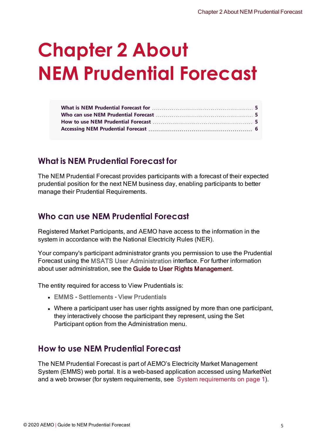# <span id="page-7-0"></span>**Chapter 2 About NEM Prudential Forecast**

## <span id="page-7-1"></span>**What is NEM Prudential Forecast for**

<span id="page-7-4"></span>The NEM Prudential Forecast provides participants with a forecast of their expected prudential position for the next NEM business day, enabling participants to better manage their Prudential Requirements.

## <span id="page-7-2"></span>**Who can use NEM Prudential Forecast**

<span id="page-7-5"></span>Registered Market Participants, and AEMO have access to the information in the system in accordance with the National Electricity Rules (NER).

Your company's participant administrator grants you permission to use the Prudential Forecast using the MSATS User Administration interface. For further information about user administration, see the Guide to User Rights Management.

The entity required for access to View Prudentials is:

- EMMS Settlements View Prudentials
- Where a participant user has user rights assigned by more than one participant, they interactively choose the participant they represent, using the Set Participant option from the Administration menu.

## <span id="page-7-3"></span>**How to use NEM Prudential Forecast**

The NEM Prudential Forecast is part of AEMO's Electricity Market Management System (EMMS) web portal. It is a web-based application accessed using MarketNet and a web browser (for system requirements, see System requirements on page 1).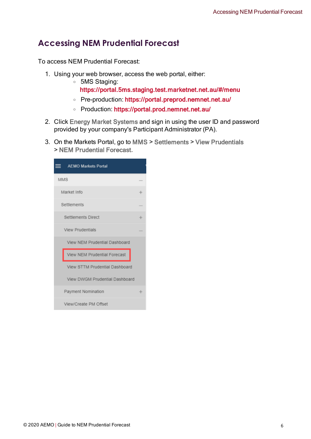## <span id="page-8-0"></span>**Accessing NEM Prudential Forecast**

To access NEM Prudential Forecast:

- 1. Using your web browser, access the web portal, either:
	- <sup>o</sup> 5MS Staging: https://portal.5ms.staging.test.marketnet.net.au/#/menu
	- <sup>o</sup> Pre-production: [https://portal.preprod.nemnet.net.au/](https://portal.prod.nemnet.net.au/)
	- <sup>o</sup> Production: <https://portal.prod.nemnet.net.au/>
- 2. Click Energy Market Systems and sign in using the user ID and password provided by your company's Participant Administrator (PA).
- 3. On the Markets Portal, go to MMS > Settlements > View Prudentials > NEM Prudential Forecast.

| <b>E</b> AEMO Markets Portal   |   |
|--------------------------------|---|
| <b>MMS</b>                     |   |
| Market Info                    | ÷ |
| Settlements                    |   |
| Settlements Direct             | ÷ |
| <b>View Prudentials</b>        |   |
| View NEM Prudential Dashboard  |   |
| View NEM Prudential Forecast   |   |
| View STTM Prudential Dashboard |   |
| View DWGM Prudential Dashboard |   |
| Payment Nomination             | ÷ |
| View/Create PM Offset          |   |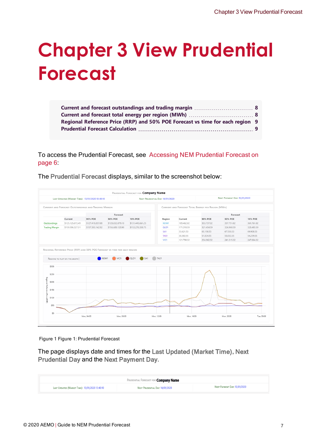# <span id="page-9-0"></span>**Chapter 3 View Prudential Forecast**

| Regional Reference Price (RRP) and 50% POE Forecast vs time for each region 9 |  |
|-------------------------------------------------------------------------------|--|
|                                                                               |  |

To access the Prudential Forecast, see Accessing [NEM Prudential](#page-8-0) Forecast on [page 6:](#page-8-0)

The Prudential Forecast displays, similar to the screenshot below:

| LAST UPDATED (MARKET TIME): 13/01/2020 13:40:10 |                                                      |                  |                                                                                                 |                         | NEXT PRUDENTIAL DAY: 14/01/2020 |            |                                                    | <b>NEXT PAYMENT DAY: 15/01/2020</b> |                |
|-------------------------------------------------|------------------------------------------------------|------------------|-------------------------------------------------------------------------------------------------|-------------------------|---------------------------------|------------|----------------------------------------------------|-------------------------------------|----------------|
|                                                 | CURRENT AND FORECAST OUTSTANDINGS AND TRADING MARGIN |                  |                                                                                                 |                         |                                 |            | CURRENT AND FORECAST TOTAL ENERGY PER REGION (MWH) |                                     |                |
|                                                 |                                                      |                  | Forecast                                                                                        |                         |                                 |            |                                                    | Forecast                            |                |
|                                                 | Current                                              | 90% POE          | <b>50% POE</b>                                                                                  | 10% POE                 | Region                          | Current    | 90% POE                                            | <b>50% POE</b>                      | <b>10% POE</b> |
| Outstandings                                    | \$125,125,672.49                                     | \$127,418,857.08 | \$128,032,879.10                                                                                | \$131,445,661.25        | NSW1                            | 189,462.02 | 353,737.02                                         | 357,751.02                          | 361,761.02     |
| <b>Trading Margin</b>                           | \$159,596,327.51                                     | \$157,303,142.92 | \$156,689,120.90                                                                                | \$153,276,338.75        | QLD1                            | 171,318.59 | 321,454.59                                         | 324,968.59                          | 328,483.59     |
|                                                 |                                                      |                  |                                                                                                 |                         | SA <sub>1</sub>                 | 33,621.53  | 65,150.53                                          | 67,530.53                           | 69,908.53      |
|                                                 |                                                      |                  |                                                                                                 |                         | TAS1                            | 30,302.55  | 51,824.55                                          | 53,032.55                           | 54,239.55      |
|                                                 |                                                      |                  |                                                                                                 |                         | VIC1                            | 121,790.32 | 234,962.32                                         | 241.315.32                          | 247.664.32     |
| \$300                                           | REGIONS TO PLOT ON THE GRAPH                         | NSW1             | REGIONAL REFERENCE PRICE (RRP) AND 50% POE FORECAST VS TIME FOR EACH REGION<br>VIC <sub>1</sub> | QLD1<br>SA <sub>1</sub> | TAS1                            |            |                                                    |                                     |                |
|                                                 |                                                      |                  |                                                                                                 |                         |                                 |            |                                                    |                                     |                |
| \$250                                           |                                                      |                  |                                                                                                 |                         |                                 |            |                                                    |                                     |                |
| \$200                                           |                                                      |                  |                                                                                                 |                         |                                 |            |                                                    |                                     |                |
| \$150                                           |                                                      |                  |                                                                                                 |                         |                                 |            |                                                    |                                     |                |
| Regional Reference Price (RRP)<br>\$100         |                                                      |                  |                                                                                                 |                         |                                 |            |                                                    |                                     |                |
| \$50<br>\$0                                     |                                                      |                  |                                                                                                 |                         |                                 |            |                                                    |                                     |                |

Figure 1 Figure 1: Prudential Forecast

The page displays date and times for the Last Updated (Market Time), Next Prudential Day and the Next Payment Day.

| Prudential Forecast for <b>Company Name</b>     |                                 |                              |  |  |  |  |
|-------------------------------------------------|---------------------------------|------------------------------|--|--|--|--|
| LAST UPDATED (MARKET TIME): 13/01/2020 13:40:10 | NEXT PRUDENTIAL DAY: 14/01/2020 | NEXT PAYMENT DAY: 15/01/2020 |  |  |  |  |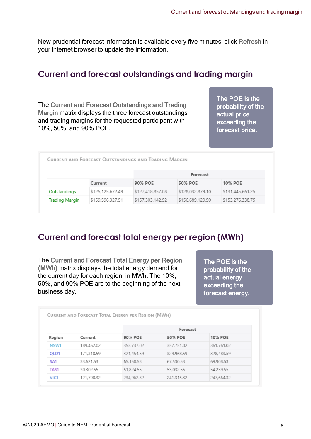New prudential forecast information is available every five minutes; click Refresh in your Internet browser to update the information.

## <span id="page-10-0"></span>**Current and forecast outstandings and trading margin**

<span id="page-10-2"></span>The Current and Forecast Outstandings and Trading Margin matrix displays the three forecast outstandings and trading margins for the requested participant with 10%, 50%, and 90% POE.

The POE is the probability of the actual price exceeding the forecast price.

|                       |                  |                  | Forecast         |                  |
|-----------------------|------------------|------------------|------------------|------------------|
|                       | Current          | 90% POE          | 50% POE          | 10% POE          |
| Outstandings          | \$125,125,672,49 | \$127,418,857.08 | \$128,032,879.10 | \$131,445,661.25 |
| <b>Trading Margin</b> | \$159,596,327.51 | \$157,303,142.92 | \$156,689,120.90 | \$153,276,338.75 |

## <span id="page-10-1"></span>**Current and forecast total energy per region (MWh)**

The Current and Forecast Total Energy per Region (MWh) matrix displays the total energy demand for the current day for each region, in MWh. The 10%, 50%, and 90% POE are to the beginning of the next business day.

The POE is the probability of the actual energy exceeding the forecast energy.

|                  |            |            | Forecast   |                |  |
|------------------|------------|------------|------------|----------------|--|
| Region           | Current    | 90% POE    | 50% POE    | <b>10% POE</b> |  |
| NSW1             | 189.462.02 | 353,737.02 | 357,751.02 | 361,761.02     |  |
| OLD1             | 171,318.59 | 321,454.59 | 324,968.59 | 328,483.59     |  |
| SA <sub>1</sub>  | 33,621.53  | 65,150.53  | 67,530.53  | 69,908.53      |  |
| TAS1             | 30,302.55  | 51,824.55  | 53,032.55  | 54,239.55      |  |
| VIC <sub>1</sub> | 121,790.32 | 234,962.32 | 241,315.32 | 247,664.32     |  |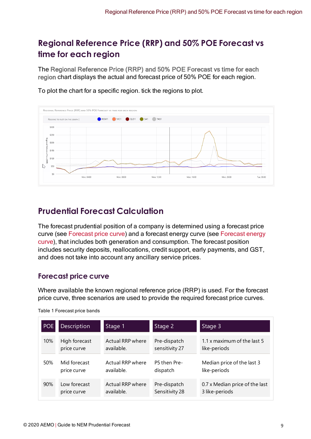## <span id="page-11-0"></span>**Regional Reference Price (RRP) and 50% POE Forecast vs time for each region**

<span id="page-11-3"></span>The Regional Reference Price (RRP) and 50% POE Forecast vs time for each region chart displays the actual and forecast price of 50% POE for each region.





## <span id="page-11-1"></span>**Prudential Forecast Calculation**

<span id="page-11-4"></span>The forecast prudential position of a company is determined using a forecast price curve (see [Forecast](#page-11-2) price curve) and a forecast energy curve (see [Forecast](#page-12-0) energy [curve](#page-12-0)), that includes both generation and consumption. The forecast position includes security deposits, reallocations, credit support, early payments, and GST, and does not take into account any ancillary service prices.

## <span id="page-11-2"></span>**Forecast price curve**

Where available the known regional reference price (RRP) is used. For the forecast price curve, three scenarios are used to provide the required forecast price curves.

| <b>POE</b> | Description   | Stage 1          | Stage 2        | Stage 3                        |
|------------|---------------|------------------|----------------|--------------------------------|
| 10%        | High forecast | Actual RRP where | Pre-dispatch   | 1.1 x maximum of the last 5    |
|            | price curve   | available.       | sensitivity 27 | like-periods                   |
| 50%        | Mid forecast  | Actual RRP where | P5 then Pre-   | Median price of the last 3     |
|            | price curve   | available.       | dispatch       | like-periods                   |
| 90%        | Low forecast  | Actual RRP where | Pre-dispatch   | 0.7 x Median price of the last |
|            | price curve   | available.       | Sensitivity 28 | 3 like-periods                 |

Table 1 Forecast price bands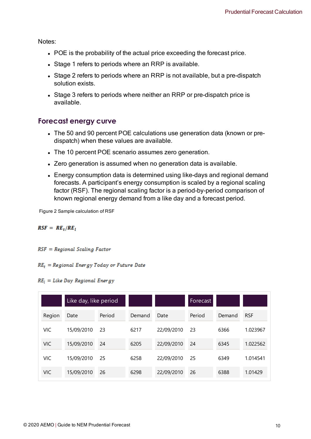Notes:

- POE is the probability of the actual price exceeding the forecast price.
- Stage 1 refers to periods where an RRP is available.
- Stage 2 refers to periods where an RRP is not available, but a pre-dispatch solution exists.
- Stage 3 refers to periods where neither an RRP or pre-dispatch price is available.

### <span id="page-12-0"></span>**Forecast energy curve**

- The 50 and 90 percent POE calculations use generation data (known or predispatch) when these values are available.
- The 10 percent POE scenario assumes zero generation.
- Zero generation is assumed when no generation data is available.
- Energy consumption data is determined using like-days and regional demand forecasts. A participant's energy consumption is scaled by a regional scaling factor (RSF). The regional scaling factor is a period-by-period comparison of known regional energy demand from a like day and a forecast period.

Figure 2 Sample calculation of RSF

 $RSF = RE_t/RE_t$ 

 $RSF = Regional Scaling Factor$ 

 $RE_t = Regional$  Energy Today or Future Date

#### $RE<sub>l</sub> = Like Day Regional Energy$

|            | Like day, like period |        |        |            | Forecast |        |            |
|------------|-----------------------|--------|--------|------------|----------|--------|------------|
| Region     | Date                  | Period | Demand | Date       | Period   | Demand | <b>RSF</b> |
| VIC        | 15/09/2010            | 23     | 6217   | 22/09/2010 | 23       | 6366   | 1.023967   |
| <b>VIC</b> | 15/09/2010            | 24     | 6205   | 22/09/2010 | 24       | 6345   | 1.022562   |
| VIC        | 15/09/2010            | 25     | 6258   | 22/09/2010 | 25       | 6349   | 1.014541   |
| <b>VIC</b> | 15/09/2010            | 26     | 6298   | 22/09/2010 | 26       | 6388   | 1.01429    |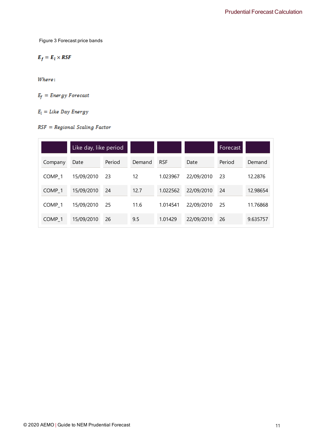Figure 3 Forecast price bands

$$
E_f = E_l \times RSF
$$

Where:

$$
E_f = Energy\ For\,
$$

 $E_l =$  Like Day Energy

### $RSF = Regional Scaling Factor$

|                    | Like day, like period |        |        |            |            | Forecast |          |
|--------------------|-----------------------|--------|--------|------------|------------|----------|----------|
| Company            | Date                  | Period | Demand | <b>RSF</b> | Date       | Period   | Demand   |
| COMP <sub>1</sub>  | 15/09/2010            | 23     | 12     | 1.023967   | 22/09/2010 | 23       | 12.2876  |
| COMP <sub>1</sub>  | 15/09/2010            | 24     | 12.7   | 1.022562   | 22/09/2010 | 24       | 12.98654 |
| COMP <sub>1</sub>  | 15/09/2010            | 25     | 11.6   | 1.014541   | 22/09/2010 | 25       | 11.76868 |
| COMP <sub>_1</sub> | 15/09/2010            | 26     | 9.5    | 1.01429    | 22/09/2010 | 26       | 9.635757 |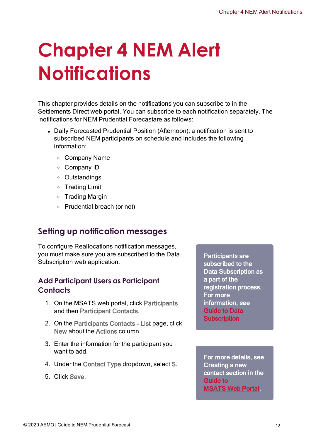# <span id="page-14-0"></span>**Chapter 4 NEM Alert Notifications**

This chapter provides details on the notifications you can subscribe to in the Settlements Direct web portal. You can subscribe to each notification separately. The notifications for NEM Prudential Forecastare as follows:

- Daily Forecasted Prudential Position (Afternoon): a notification is sent to subscribed NEM participants on schedule and includes the following information:
	- <sup>o</sup> Company Name
	- <sup>o</sup> Company ID
	- <sup>o</sup> Outstandings
	- <sup>o</sup> Trading Limit
	- <sup>o</sup> Trading Margin
	- <sup>o</sup> Prudential breach (or not)

## <span id="page-14-1"></span>**Setting up notification messages**

To configure Reallocations notification messages, you must make sure you are subscribed to the Data Subscription web application.

### **Add Participant Users as Participant Contacts**

- 1. On the MSATS web portal, click Participants and then Participant Contacts.
- 2. On the Participants Contacts List page, click New about the Actions column.
- 3. Enter the information for the participant you want to add.
- 4. Under the Contact Type dropdown, select S.
- 5. Click Save.

Participants are subscribed to the Data Subscription as a part of the registration process. For more information, see [Guide](https://www.aemo.com.au/-/media/Files/Electricity/NEM/IT-Systems-and-Change/2017/Guide-to-Data-Subscription.pdf) to Data **[Subscription](https://www.aemo.com.au/-/media/Files/Electricity/NEM/IT-Systems-and-Change/2017/Guide-to-Data-Subscription.pdf)** 

For more details, see Creating a new contact section in the [Guide](https://www.aemo.com.au/-/media/Files/Electricity/NEM/Retail_and_Metering/Market_Settlement_And_Transfer_Solutions/2019/Guide-to-MSATS-Web-Portal.pdf) to [MSATS Web Portal](https://www.aemo.com.au/-/media/Files/Electricity/NEM/Retail_and_Metering/Market_Settlement_And_Transfer_Solutions/2019/Guide-to-MSATS-Web-Portal.pdf).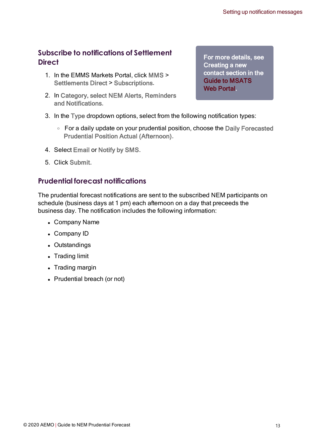### **Subscribe to notifications of Settlement Direct**

- 1. In the EMMS Markets Portal, click MMS > Settlements Direct > Subscriptions.
- 2. In Category, select NEM Alerts, Reminders and Notifications.

For more details, see Creating a new contact section in the Guide to MSATS Web Portal

- 3. In the Type dropdown options, select from the following notification types:
	- <sup>o</sup> For a daily update on your prudential position, choose the Daily Forecasted Prudential Position Actual (Afternoon).
- 4. Select Email or Notify by SMS.
- 5. Click Submit.

### **Prudential forecast notifications**

The prudential forecast notifications are sent to the subscribed NEM participants on schedule (business days at 1 pm) each afternoon on a day that preceeds the business day. The notification includes the following information:

- Company Name
- Company ID
- Outstandings
- Trading limit
- Trading margin
- Prudential breach (or not)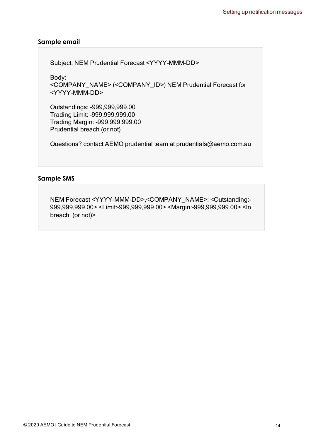#### **Sample email**

Subject: NEM Prudential Forecast <YYYY-MMM-DD>

Body:

<COMPANY\_NAME> (<COMPANY\_ID>) NEM Prudential Forecast for <YYYY-MMM-DD>

Outstandings: -999,999,999.00 Trading Limit: -999,999,999.00 Trading Margin: -999,999,999.00 Prudential breach (or not)

Questions? contact AEMO prudential team at prudentials@aemo.com.au

#### **Sample SMS**

NEM Forecast <YYYY-MMM-DD>,<COMPANY\_NAME>: <Outstanding:- 999,999,999.00> <Limit:-999,999,999.00> <Margin:-999,999,999.00> <In breach (or not)>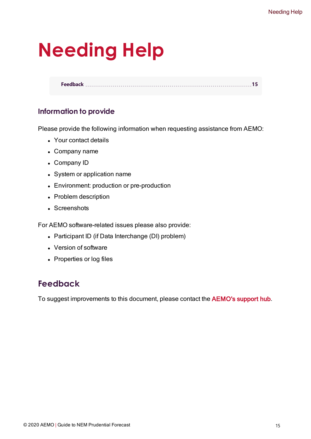# <span id="page-17-0"></span>**Needing Help**

**[Feedback](#page-17-1) [15](#page-17-1)**

## **Information to provide**

Please provide the following information when requesting assistance from AEMO:

- Your contact details
- Company name
- Company ID
- System or application name
- Environment: production or pre-production
- Problem description
- Screenshots

For AEMO software-related issues please also provide:

- Participant ID (if Data Interchange (DI) problem)
- Version of software
- Properties or log files

## <span id="page-17-1"></span>**Feedback**

To suggest improvements to this document, please contact the [AEMO's](mailto:supporthub@aemo.com.au?subject=Feedback) support hub.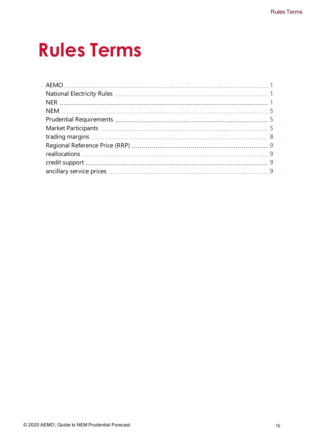# <span id="page-18-0"></span>**Rules Terms**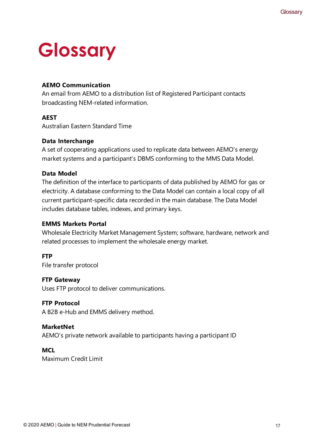# <span id="page-19-0"></span>**Glossary**

### **AEMO Communication**

An email from AEMO to a distribution list of Registered Participant contacts broadcasting NEM-related information.

### **AEST**

Australian Eastern Standard Time

### **Data Interchange**

A set of cooperating applications used to replicate data between AEMO's energy market systems and a participant's DBMS conforming to the MMS Data Model.

### **Data Model**

The definition of the interface to participants of data published by AEMO for gas or electricity. A database conforming to the Data Model can contain a local copy of all current participant-specific data recorded in the main database. The Data Model includes database tables, indexes, and primary keys.

### **EMMS Markets Portal**

Wholesale Electricity Market Management System; software, hardware, network and related processes to implement the wholesale energy market.

### **FTP**

File transfer protocol

### **FTP Gateway**

Uses FTP protocol to deliver communications.

### **FTP Protocol**

A B2B e-Hub and EMMS delivery method.

### **MarketNet**

AEMO's private network available to participants having a participant ID

### **MCL**

Maximum Credit Limit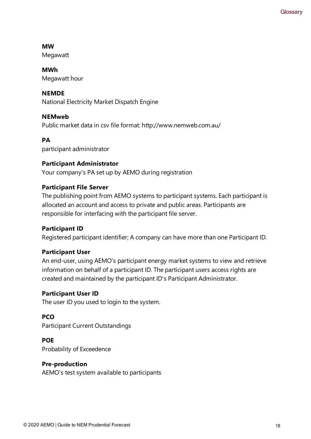### **MW**

**Megawatt** 

### **MWh** Megawatt hour

**NEMDE**

National Electricity Market Dispatch Engine

### **NEMweb**

Public market data in csv file format: http://www.nemweb.com.au/

### **PA**

participant administrator

### **Participant Administrator**

Your company's PA set up by AEMO during registration

### **Participant File Server**

The publishing point from AEMO systems to participant systems. Each participant is allocated an account and access to private and public areas. Participants are responsible for interfacing with the participant file server.

### **Participant ID**

Registered participant identifier; A company can have more than one Participant ID.

### **Participant User**

An end-user, using AEMO's participant energy market systems to view and retrieve information on behalf of a participant ID. The participant users access rights are created and maintained by the participant ID's Participant Administrator.

### **Participant User ID**

The user ID you used to login to the system.

### **PCO**

Participant Current Outstandings

### **POE**

Probability of Exceedence

### **Pre-production**

AEMO's test system available to participants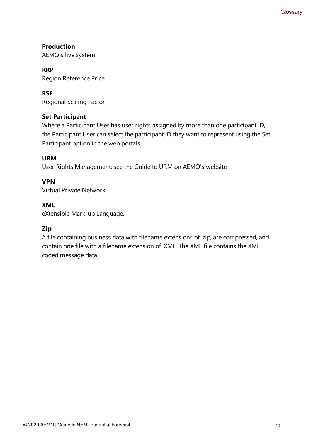**Production** AEMO's live system

**RRP** Region Reference Price

**RSF** Regional Scaling Factor

### **Set Participant**

Where a Participant User has user rights assigned by more than one participant ID, the Participant User can select the participant ID they want to represent using the Set Participant option in the web portals.

### **URM**

User Rights Management; see the Guide to URM on AEMO's website

### **VPN**

Virtual Private Network

### **XML**

eXtensible Mark-up Language.

### **Zip**

A file containing business data with filename extensions of .zip, are compressed, and contain one file with a filename extension of .XML. The XML file contains the XML coded message data.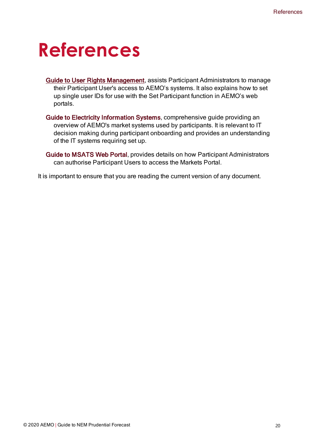## <span id="page-22-0"></span>**References**

- Guide to User Rights Management, assists Participant Administrators to manage their Participant User's access to AEMO's systems. It also explains how to set up single user IDs for use with the Set Participant function in AEMO's web portals.
- Guide to Electricity Information Systems, comprehensive guide providing an overview of AEMO's market systems used by participants. It is relevant to IT decision making during participant onboarding and provides an understanding of the IT systems requiring set up.
- Guide to MSATS Web Portal, provides details on how Participant Administrators can authorise Participant Users to access the Markets Portal.

It is important to ensure that you are reading the current version of any document.